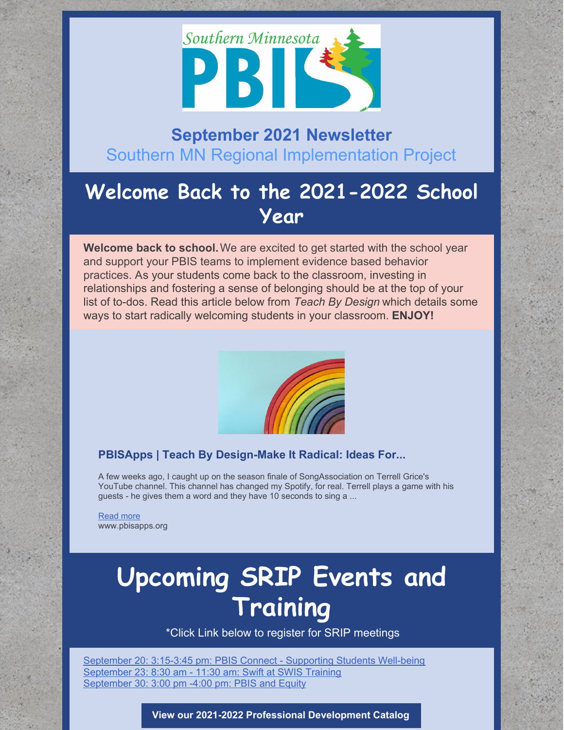

## **September 2021 Newsletter** Southern MN Regional Implementation Project

## **Welcome Back to the 2021-2022 School Year**

**Welcome back to school.**We are excited to get started with the school year and support your PBIS teams to implement evidence based behavior practices. As your students come back to the classroom, investing in relationships and fostering a sense of belonging should be at the top of your list of to-dos. Read this article below from *Teach By Design* which details some ways to start radically welcoming students in your classroom. **ENJOY!**



## **PBISApps | Teach By Design-Make It Radical: Ideas For...**

A few weeks ago, I caught up on the season finale of SongAssociation on Terrell Grice's YouTube channel. This channel has changed my Spotify, for real. Terrell plays a game with his guests - he gives them a word and they have 10 seconds to sing a ...

[Read](https://www.pbisapps.org/articles/make-it-radical-ideas-for-your-most-welcoming-classroom-ever) more www.pbisapps.org

## **Upcoming SRIP Events and Training**

\*Click Link below to register for SRIP meetings

[September](https://socrates.zoom.us/meeting/register/tJMsdeugrzouHNH1DcFMuz6ayOS3tsnP9LZ2) 20: 3:15-3:45 pm: PBIS Connect - Supporting Students Well-being [September](https://socrates.zoom.us/meeting/register/tJMlc-yrrDkjHdFAVUYih701lJI8965Ith0T) 23: 8:30 am - 11:30 am: Swift at SWIS Training [September](https://socrates.zoom.us/meeting/register/tJIsdemhrTssGt22RgUDn0RKIZuacN1zqSGw) 30: 3:00 pm -4:00 pm: PBIS and Equity

#### **View our 2021-2022 Professional [Development](https://drive.google.com/file/d/1wqxM0Sfi7me_KC8agcFvTbBoq1ivgtyd/view?usp=sharing) Catalog**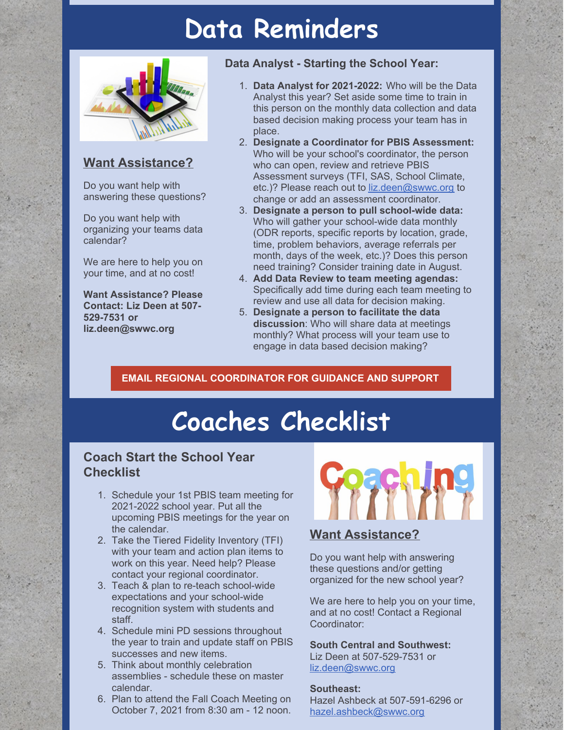## **Data Reminders**



## **Want Assistance?**

Do you want help with answering these questions?

Do you want help with organizing your teams data calendar?

We are here to help you on your time, and at no cost!

**Want Assistance? Please Contact: Liz Deen at 507- 529-7531 or liz.deen@swwc.org**

### **Data Analyst - Starting the School Year:**

- 1. **Data Analyst for 2021-2022:** Who will be the Data Analyst this year? Set aside some time to train in this person on the monthly data collection and data based decision making process your team has in place.
- 2. **Designate a Coordinator for PBIS Assessment:** Who will be your school's coordinator, the person who can open, review and retrieve PBIS Assessment surveys (TFI, SAS, School Climate, etc.)? Please reach out to [liz.deen@swwc.org](mailto:liz.deen@swwc.org) to change or add an assessment coordinator.
- 3. **Designate a person to pull school-wide data:** Who will gather your school-wide data monthly (ODR reports, specific reports by location, grade, time, problem behaviors, average referrals per month, days of the week, etc.)? Does this person need training? Consider training date in August.
- 4. **Add Data Review to team meeting agendas:** Specifically add time during each team meeting to review and use all data for decision making.
- 5. **Designate a person to facilitate the data discussion**: Who will share data at meetings monthly? What process will your team use to engage in data based decision making?

## **EMAIL REGIONAL [COORDINATOR](mailto:liz.deen@swwc.org) FOR GUIDANCE AND SUPPORT**

# **Coaches Checklist**

## **Coach Start the School Year Checklist**

- 1. Schedule your 1st PBIS team meeting for 2021-2022 school year. Put all the upcoming PBIS meetings for the year on the calendar.
- 2. Take the Tiered Fidelity Inventory (TFI) with your team and action plan items to work on this year. Need help? Please contact your regional coordinator.
- 3. Teach & plan to re-teach school-wide expectations and your school-wide recognition system with students and staff.
- 4. Schedule mini PD sessions throughout the year to train and update staff on PBIS successes and new items.
- 5. Think about monthly celebration assemblies - schedule these on master calendar.
- 6. Plan to attend the Fall Coach Meeting on October 7, 2021 from 8:30 am - 12 noon.



## **Want Assistance?**

Do you want help with answering these questions and/or getting organized for the new school year?

We are here to help you on your time, and at no cost! Contact a Regional Coordinator:

**South Central and Southwest:** Liz Deen at 507-529-7531 or [liz.deen@swwc.org](mailto:liz.deen@swwc.org)

### **Southeast:**

Hazel Ashbeck at 507-591-6296 or [hazel.ashbeck@swwc.org](mailto:hazel.ashbeck@swwc.org)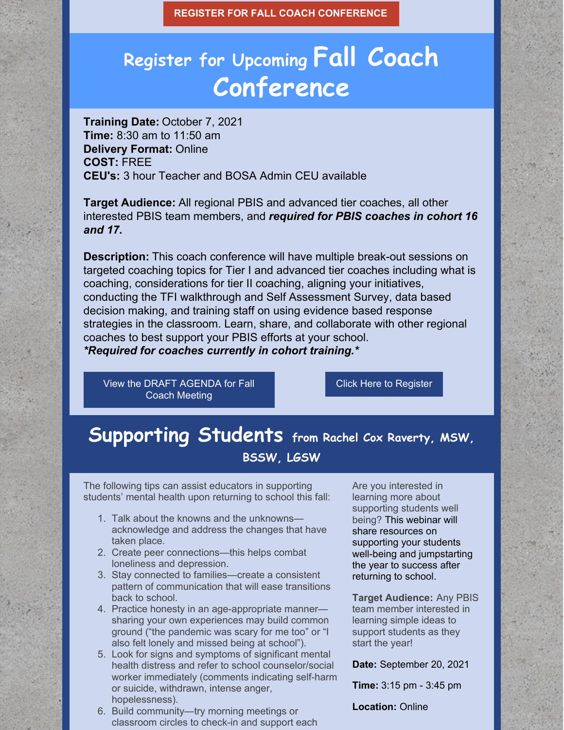**REGISTER FOR FALL COACH [CONFERENCE](https://socrates.zoom.us/meeting/register/tJIvdeGqpzgqHNWdmWESn6hgnSf35kQsG3sg)**

## **Register for Upcoming Fall Coach Conference**

**Training Date:** October 7, 2021 **Time:** 8:30 am to 11:50 am **Delivery Format:** Online **COST:** FREE **CEU's:** 3 hour Teacher and BOSA Admin CEU available

**Target Audience:** All regional PBIS and advanced tier coaches, all other interested PBIS team members, and *required for PBIS coaches in cohort 16 and 17.*

**Description:** This coach conference will have multiple break-out sessions on targeted coaching topics for Tier I and advanced tier coaches including what is coaching, considerations for tier II coaching, aligning your initiatives, conducting the TFI walkthrough and Self Assessment Survey, data based decision making, and training staff on using evidence based response strategies in the classroom. Learn, share, and collaborate with other regional coaches to best support your PBIS efforts at your school. *\*Required for coaches currently in cohort training.\**

View the DRAFT [AGENDA](https://docs.google.com/document/d/1qRpKsyqRkuchq3fhB8W6eIk0KAnlh7ed94MPcsk_9DI/edit?usp=sharing) for Fall Coach Meeting

Click Here to [Register](https://socrates.zoom.us/meeting/register/tJIvdeGqpzgqHNWdmWESn6hgnSf35kQsG3sg)

## **Supporting Students from Rachel Cox Raverty, MSW, BSSW, LGSW**

The following tips can assist educators in supporting students' mental health upon returning to school this fall:

- 1. Talk about the knowns and the unknowns acknowledge and address the changes that have taken place.
- 2. Create peer connections—this helps combat loneliness and depression.
- 3. Stay connected to families—create a consistent pattern of communication that will ease transitions back to school.
- 4. Practice honesty in an age-appropriate manner sharing your own experiences may build common ground ("the pandemic was scary for me too" or "I also felt lonely and missed being at school").
- 5. Look for signs and symptoms of significant mental health distress and refer to school counselor/social worker immediately (comments indicating self-harm or suicide, withdrawn, intense anger, hopelessness).
- 6. Build community—try morning meetings or classroom circles to check-in and support each

Are you interested in learning more about supporting students well being? This webinar will share resources on supporting your students well-being and jumpstarting the year to success after returning to school.

**Target Audience:** Any PBIS team member interested in learning simple ideas to support students as they start the year!

**Date:** September 20, 2021

**Time:** 3:15 pm - 3:45 pm

**Location:** Online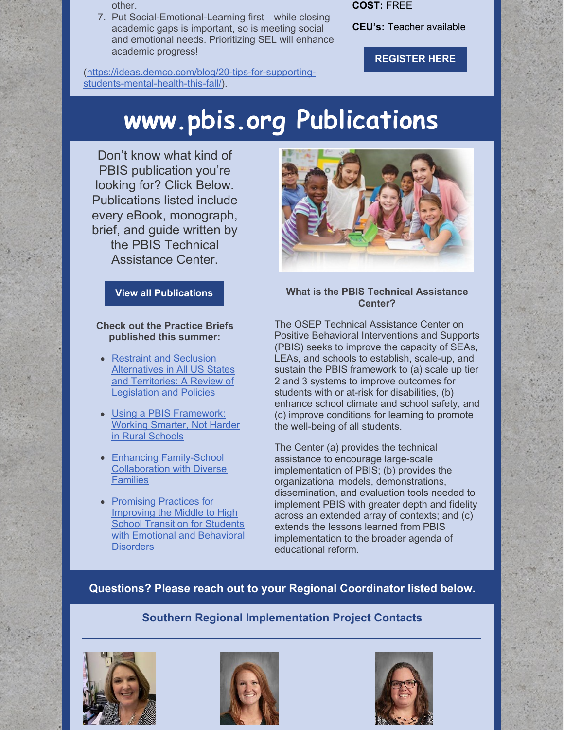other.

7. Put Social-Emotional-Learning first—while closing academic gaps is important, so is meeting social and emotional needs. Prioritizing SEL will enhance academic progress!

[\(https://ideas.demco.com/blog/20-tips-for-supporting](https://ideas.demco.com/blog/20-tips-for-supporting-students-mental-health-this-fall/)students-mental-health-this-fall/).

**COST:** FREE

**CEU's:** Teacher available

**[REGISTER](https://socrates.zoom.us/meeting/register/tJMsdeugrzouHNH1DcFMuz6ayOS3tsnP9LZ2) HERE**

# **www.pbis.org Publications**

Don't know what kind of PBIS publication you're looking for? Click Below. Publications listed include every eBook, monograph, brief, and guide written by the PBIS Technical Assistance Center.

### **View all [Publications](https://www.pbis.org/publications/all-publications)**

#### **Check out the Practice Briefs published this summer:**

- Restraint and Seclusion [Alternatives](https://www.pbis.org/resource/restraint-and-seclusion-alternatives-in-all-us-states-and-territories-a-review-of-legislation-and-policies) in All US States and Territories: A Review of Legislation and Policies
- Using a PBIS [Framework:](https://www.pbis.org/resource/using-a-pbis-framework-working-smarter-not-harder-in-rural-schools) Working Smarter, Not Harder in Rural Schools
- Enhancing [Family-School](https://www.pbis.org/resource/enhancing-family-school-collaboration-with-diverse-families) Collaboration with Diverse **Families**
- Promising Practices for Improving the Middle to High School Transition for Students with Emotional and [Behavioral](https://www.pbis.org/resource/promising-practices-for-improving-the-middle-to-high-school-transition-for-students-with-emotional-and-behavioral-disorders) **Disorders**



### **What is the PBIS Technical Assistance Center?**

The OSEP Technical Assistance Center on Positive Behavioral Interventions and Supports (PBIS) seeks to improve the capacity of SEAs, LEAs, and schools to establish, scale-up, and sustain the PBIS framework to (a) scale up tier 2 and 3 systems to improve outcomes for students with or at-risk for disabilities, (b) enhance school climate and school safety, and (c) improve conditions for learning to promote the well-being of all students.

The Center (a) provides the technical assistance to encourage large-scale implementation of PBIS; (b) provides the organizational models, demonstrations, dissemination, and evaluation tools needed to implement PBIS with greater depth and fidelity across an extended array of contexts; and (c) extends the lessons learned from PBIS implementation to the broader agenda of educational reform.

### **Questions? Please reach out to your Regional Coordinator listed below.**

## **Southern Regional Implementation Project Contacts**